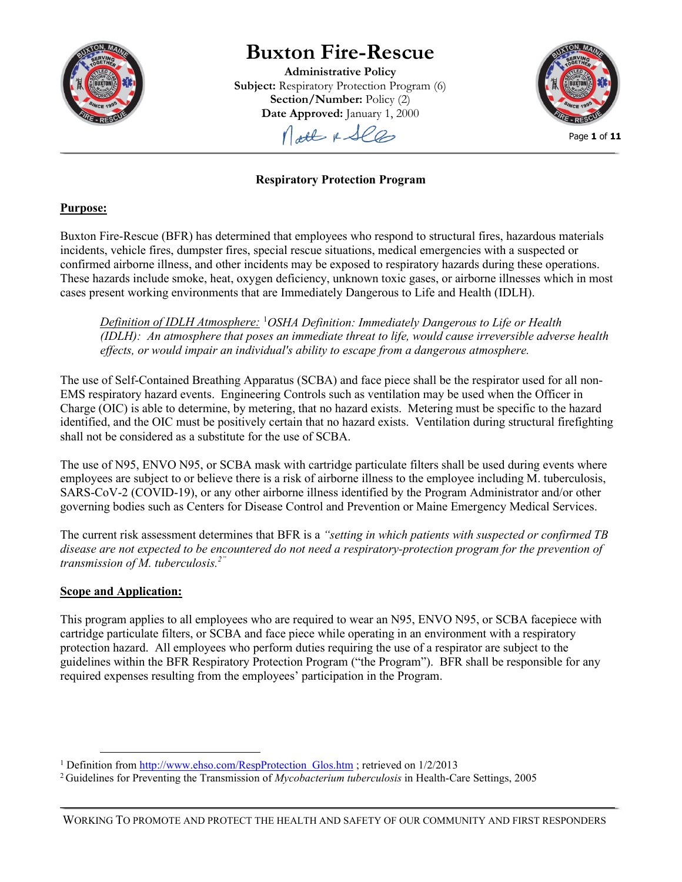

# **Buxton Fire-Rescue**

**Administrative Policy Subject:** Respiratory Protection Program (6) **Section/Number:** Policy (2) **Date Approved:** January 1, 2000

Molt & Sles



Page **1** of **11**

# **Respiratory Protection Program**

## **Purpose:**

Buxton Fire-Rescue (BFR) has determined that employees who respond to structural fires, hazardous materials incidents, vehicle fires, dumpster fires, special rescue situations, medical emergencies with a suspected or confirmed airborne illness, and other incidents may be exposed to respiratory hazards during these operations. These hazards include smoke, heat, oxygen deficiency, unknown toxic gases, or airborne illnesses which in most cases present working environments that are Immediately Dangerous to Life and Health (IDLH).

*Definition of IDLH Atmosphere:* [1](#page-0-0) *OSHA Definition: Immediately Dangerous to Life or Health (IDLH): An atmosphere that poses an immediate threat to life, would cause irreversible adverse health effects, or would impair an individual's ability to escape from a dangerous atmosphere.*

The use of Self-Contained Breathing Apparatus (SCBA) and face piece shall be the respirator used for all non-EMS respiratory hazard events. Engineering Controls such as ventilation may be used when the Officer in Charge (OIC) is able to determine, by metering, that no hazard exists. Metering must be specific to the hazard identified, and the OIC must be positively certain that no hazard exists. Ventilation during structural firefighting shall not be considered as a substitute for the use of SCBA.

The use of N95, ENVO N95, or SCBA mask with cartridge particulate filters shall be used during events where employees are subject to or believe there is a risk of airborne illness to the employee including M. tuberculosis, SARS-CoV-2 (COVID-19), or any other airborne illness identified by the Program Administrator and/or other governing bodies such as Centers for Disease Control and Prevention or Maine Emergency Medical Services.

The current risk assessment determines that BFR is a *"setting in which patients with suspected or confirmed TB disease are not expected to be encountered do not need a respiratory-protection program for the prevention of transmission of M. tuberculosis. 2"*

# **Scope and Application:**

This program applies to all employees who are required to wear an N95, ENVO N95, or SCBA facepiece with cartridge particulate filters, or SCBA and face piece while operating in an environment with a respiratory protection hazard. All employees who perform duties requiring the use of a respirator are subject to the guidelines within the BFR Respiratory Protection Program ("the Program"). BFR shall be responsible for any required expenses resulting from the employees' participation in the Program.

<span id="page-0-0"></span><sup>&</sup>lt;sup>1</sup> Definition from  $\frac{http://www.ehso.com/RespProtection-Glos.htm}{http://www.ehso.com/RespProtection-Glos.htm}$ ; retrieved on  $1/2/2013$ 

<sup>2</sup> Guidelines for Preventing the Transmission of *Mycobacterium tuberculosis* in Health-Care Settings, 2005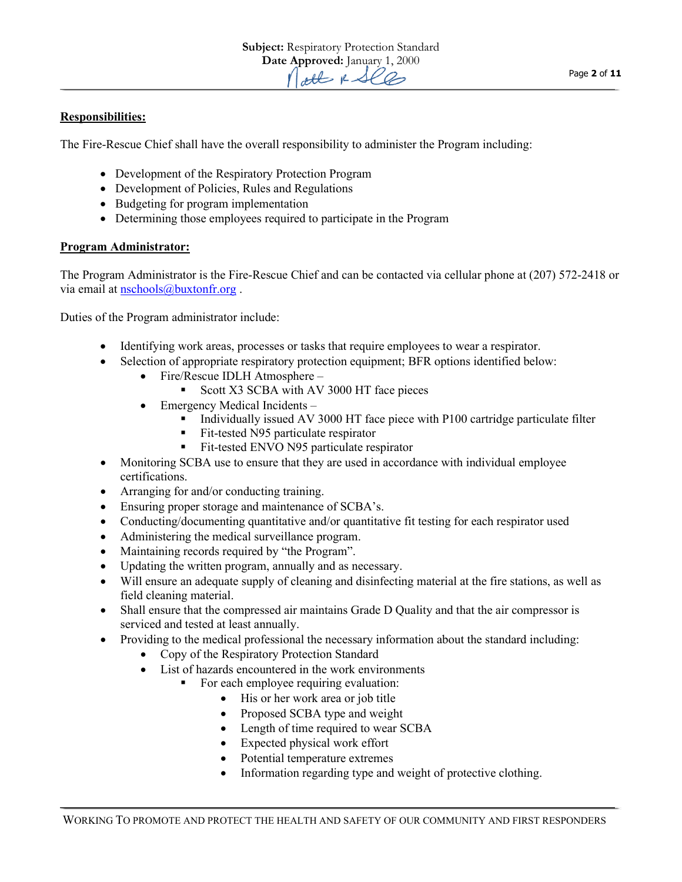## **Responsibilities:**

The Fire-Rescue Chief shall have the overall responsibility to administer the Program including:

- Development of the Respiratory Protection Program
- Development of Policies, Rules and Regulations
- Budgeting for program implementation
- Determining those employees required to participate in the Program

## **Program Administrator:**

The Program Administrator is the Fire-Rescue Chief and can be contacted via cellular phone at (207) 572-2418 or via email at [nschools@buxtonfr.org](mailto:nschools@buxtonfr.org) .

Duties of the Program administrator include:

- Identifying work areas, processes or tasks that require employees to wear a respirator.
- Selection of appropriate respiratory protection equipment; BFR options identified below:
	- Fire/Rescue IDLH Atmosphere
		- Scott X3 SCBA with AV 3000 HT face pieces
	- Emergency Medical Incidents
		- Individually issued AV 3000 HT face piece with P100 cartridge particulate filter
		- Fit-tested N95 particulate respirator
		- Fit-tested ENVO N95 particulate respirator
- Monitoring SCBA use to ensure that they are used in accordance with individual employee certifications.
- Arranging for and/or conducting training.
- Ensuring proper storage and maintenance of SCBA's.
- Conducting/documenting quantitative and/or quantitative fit testing for each respirator used
- Administering the medical surveillance program.
- Maintaining records required by "the Program".
- Updating the written program, annually and as necessary.
- Will ensure an adequate supply of cleaning and disinfecting material at the fire stations, as well as field cleaning material.
- Shall ensure that the compressed air maintains Grade D Quality and that the air compressor is serviced and tested at least annually.
- Providing to the medical professional the necessary information about the standard including:
	- Copy of the Respiratory Protection Standard
	- List of hazards encountered in the work environments
		- For each employee requiring evaluation:
			- His or her work area or job title
			- Proposed SCBA type and weight
			- Length of time required to wear SCBA
			- Expected physical work effort
			- Potential temperature extremes
			- Information regarding type and weight of protective clothing.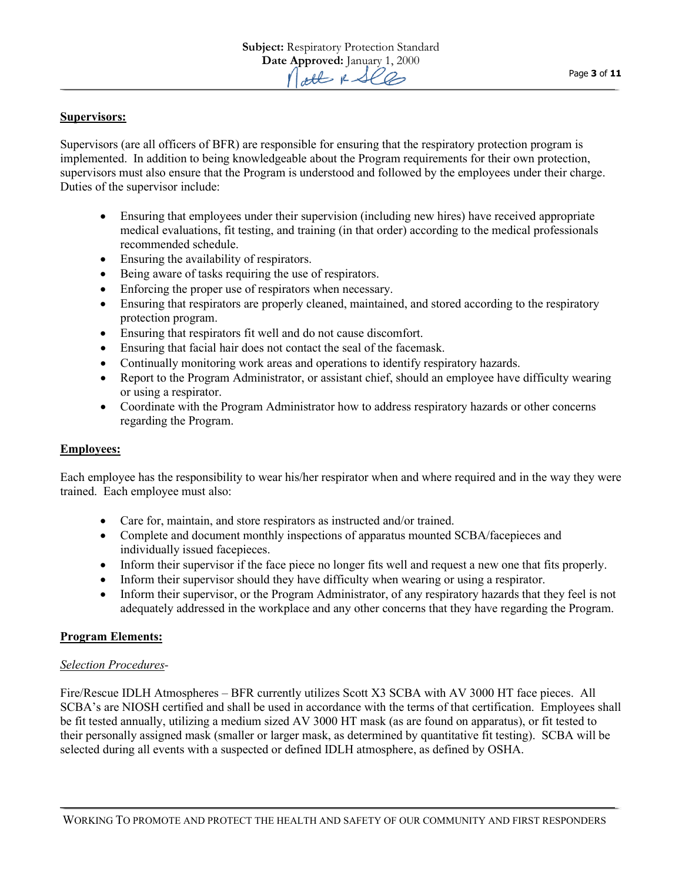## **Supervisors:**

Supervisors (are all officers of BFR) are responsible for ensuring that the respiratory protection program is implemented. In addition to being knowledgeable about the Program requirements for their own protection, supervisors must also ensure that the Program is understood and followed by the employees under their charge. Duties of the supervisor include:

- Ensuring that employees under their supervision (including new hires) have received appropriate medical evaluations, fit testing, and training (in that order) according to the medical professionals recommended schedule.
- Ensuring the availability of respirators.
- Being aware of tasks requiring the use of respirators.
- Enforcing the proper use of respirators when necessary.
- Ensuring that respirators are properly cleaned, maintained, and stored according to the respiratory protection program.
- Ensuring that respirators fit well and do not cause discomfort.
- Ensuring that facial hair does not contact the seal of the facemask.
- Continually monitoring work areas and operations to identify respiratory hazards.
- Report to the Program Administrator, or assistant chief, should an employee have difficulty wearing or using a respirator.
- Coordinate with the Program Administrator how to address respiratory hazards or other concerns regarding the Program.

## **Employees:**

Each employee has the responsibility to wear his/her respirator when and where required and in the way they were trained. Each employee must also:

- Care for, maintain, and store respirators as instructed and/or trained.
- Complete and document monthly inspections of apparatus mounted SCBA/facepieces and individually issued facepieces.
- Inform their supervisor if the face piece no longer fits well and request a new one that fits properly.
- Inform their supervisor should they have difficulty when wearing or using a respirator.
- Inform their supervisor, or the Program Administrator, of any respiratory hazards that they feel is not adequately addressed in the workplace and any other concerns that they have regarding the Program.

## **Program Elements:**

## *Selection Procedures-*

Fire/Rescue IDLH Atmospheres – BFR currently utilizes Scott X3 SCBA with AV 3000 HT face pieces. All SCBA's are NIOSH certified and shall be used in accordance with the terms of that certification. Employees shall be fit tested annually, utilizing a medium sized AV 3000 HT mask (as are found on apparatus), or fit tested to their personally assigned mask (smaller or larger mask, as determined by quantitative fit testing). SCBA will be selected during all events with a suspected or defined IDLH atmosphere, as defined by OSHA.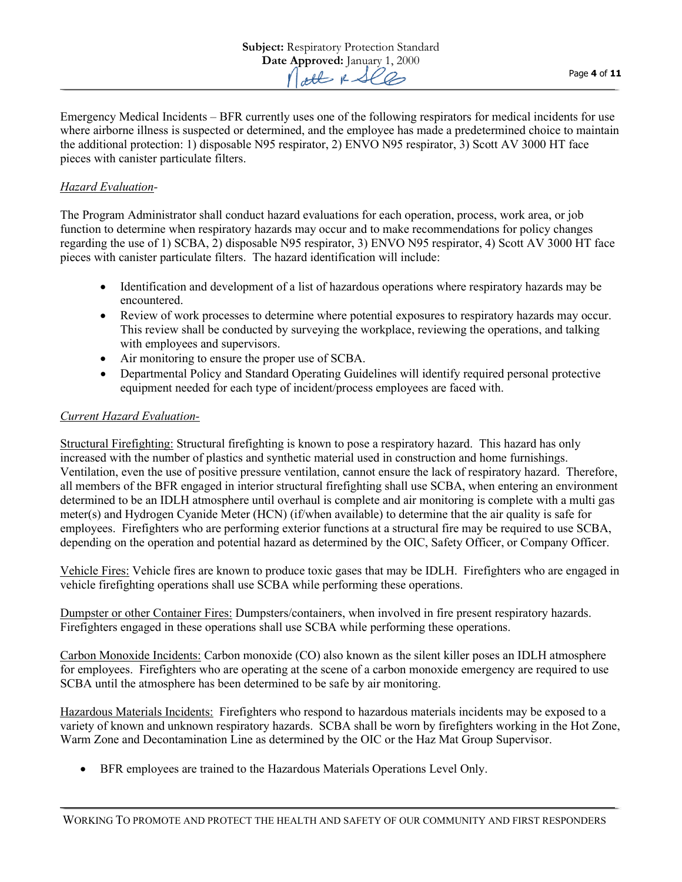Emergency Medical Incidents – BFR currently uses one of the following respirators for medical incidents for use where airborne illness is suspected or determined, and the employee has made a predetermined choice to maintain the additional protection: 1) disposable N95 respirator, 2) ENVO N95 respirator, 3) Scott AV 3000 HT face pieces with canister particulate filters.

## *Hazard Evaluation-*

The Program Administrator shall conduct hazard evaluations for each operation, process, work area, or job function to determine when respiratory hazards may occur and to make recommendations for policy changes regarding the use of 1) SCBA, 2) disposable N95 respirator, 3) ENVO N95 respirator, 4) Scott AV 3000 HT face pieces with canister particulate filters. The hazard identification will include:

- Identification and development of a list of hazardous operations where respiratory hazards may be encountered.
- Review of work processes to determine where potential exposures to respiratory hazards may occur. This review shall be conducted by surveying the workplace, reviewing the operations, and talking with employees and supervisors.
- Air monitoring to ensure the proper use of SCBA.
- Departmental Policy and Standard Operating Guidelines will identify required personal protective equipment needed for each type of incident/process employees are faced with.

## *Current Hazard Evaluation-*

Structural Firefighting: Structural firefighting is known to pose a respiratory hazard. This hazard has only increased with the number of plastics and synthetic material used in construction and home furnishings. Ventilation, even the use of positive pressure ventilation, cannot ensure the lack of respiratory hazard. Therefore, all members of the BFR engaged in interior structural firefighting shall use SCBA, when entering an environment determined to be an IDLH atmosphere until overhaul is complete and air monitoring is complete with a multi gas meter(s) and Hydrogen Cyanide Meter (HCN) (if/when available) to determine that the air quality is safe for employees. Firefighters who are performing exterior functions at a structural fire may be required to use SCBA, depending on the operation and potential hazard as determined by the OIC, Safety Officer, or Company Officer.

Vehicle Fires: Vehicle fires are known to produce toxic gases that may be IDLH. Firefighters who are engaged in vehicle firefighting operations shall use SCBA while performing these operations.

Dumpster or other Container Fires: Dumpsters/containers, when involved in fire present respiratory hazards. Firefighters engaged in these operations shall use SCBA while performing these operations.

Carbon Monoxide Incidents: Carbon monoxide (CO) also known as the silent killer poses an IDLH atmosphere for employees. Firefighters who are operating at the scene of a carbon monoxide emergency are required to use SCBA until the atmosphere has been determined to be safe by air monitoring.

Hazardous Materials Incidents: Firefighters who respond to hazardous materials incidents may be exposed to a variety of known and unknown respiratory hazards. SCBA shall be worn by firefighters working in the Hot Zone, Warm Zone and Decontamination Line as determined by the OIC or the Haz Mat Group Supervisor.

• BFR employees are trained to the Hazardous Materials Operations Level Only.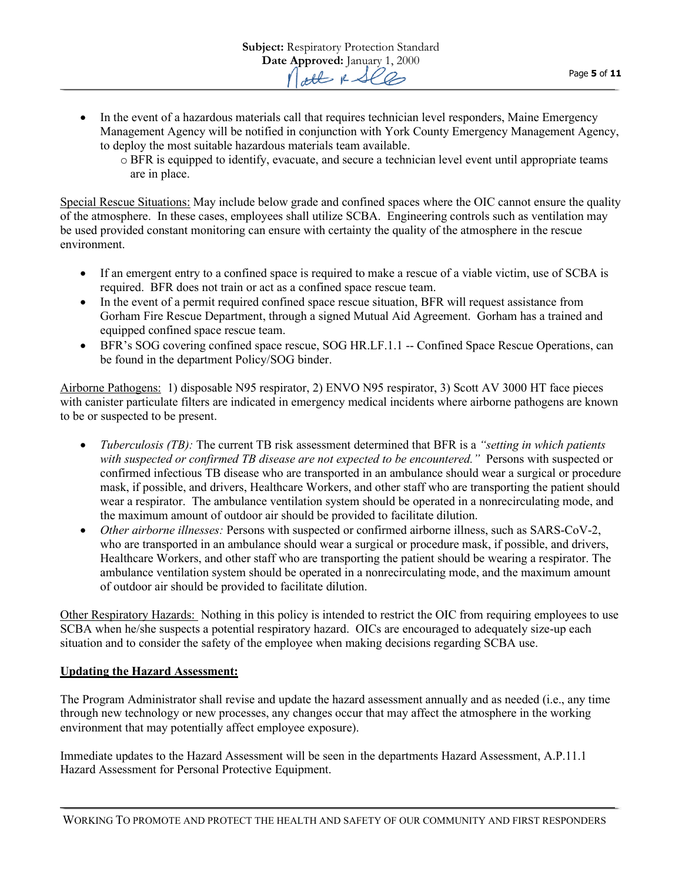- In the event of a hazardous materials call that requires technician level responders, Maine Emergency Management Agency will be notified in conjunction with York County Emergency Management Agency, to deploy the most suitable hazardous materials team available.
	- o BFR is equipped to identify, evacuate, and secure a technician level event until appropriate teams are in place.

Special Rescue Situations: May include below grade and confined spaces where the OIC cannot ensure the quality of the atmosphere. In these cases, employees shall utilize SCBA. Engineering controls such as ventilation may be used provided constant monitoring can ensure with certainty the quality of the atmosphere in the rescue environment.

- If an emergent entry to a confined space is required to make a rescue of a viable victim, use of SCBA is required. BFR does not train or act as a confined space rescue team.
- In the event of a permit required confined space rescue situation, BFR will request assistance from Gorham Fire Rescue Department, through a signed Mutual Aid Agreement. Gorham has a trained and equipped confined space rescue team.
- BFR's SOG covering confined space rescue, SOG HR.LF.1.1 -- Confined Space Rescue Operations, can be found in the department Policy/SOG binder.

Airborne Pathogens: 1) disposable N95 respirator, 2) ENVO N95 respirator, 3) Scott AV 3000 HT face pieces with canister particulate filters are indicated in emergency medical incidents where airborne pathogens are known to be or suspected to be present.

- *Tuberculosis (TB):* The current TB risk assessment determined that BFR is a *"setting in which patients*  with suspected or confirmed TB disease are not expected to be encountered." Persons with suspected or confirmed infectious TB disease who are transported in an ambulance should wear a surgical or procedure mask, if possible, and drivers, Healthcare Workers, and other staff who are transporting the patient should wear a respirator. The ambulance ventilation system should be operated in a nonrecirculating mode, and the maximum amount of outdoor air should be provided to facilitate dilution.
- *Other airborne illnesses:* Persons with suspected or confirmed airborne illness, such as SARS-CoV-2, who are transported in an ambulance should wear a surgical or procedure mask, if possible, and drivers, Healthcare Workers, and other staff who are transporting the patient should be wearing a respirator. The ambulance ventilation system should be operated in a nonrecirculating mode, and the maximum amount of outdoor air should be provided to facilitate dilution.

Other Respiratory Hazards: Nothing in this policy is intended to restrict the OIC from requiring employees to use SCBA when he/she suspects a potential respiratory hazard. OICs are encouraged to adequately size-up each situation and to consider the safety of the employee when making decisions regarding SCBA use.

## **Updating the Hazard Assessment:**

The Program Administrator shall revise and update the hazard assessment annually and as needed (i.e., any time through new technology or new processes, any changes occur that may affect the atmosphere in the working environment that may potentially affect employee exposure).

Immediate updates to the Hazard Assessment will be seen in the departments Hazard Assessment, A.P.11.1 Hazard Assessment for Personal Protective Equipment.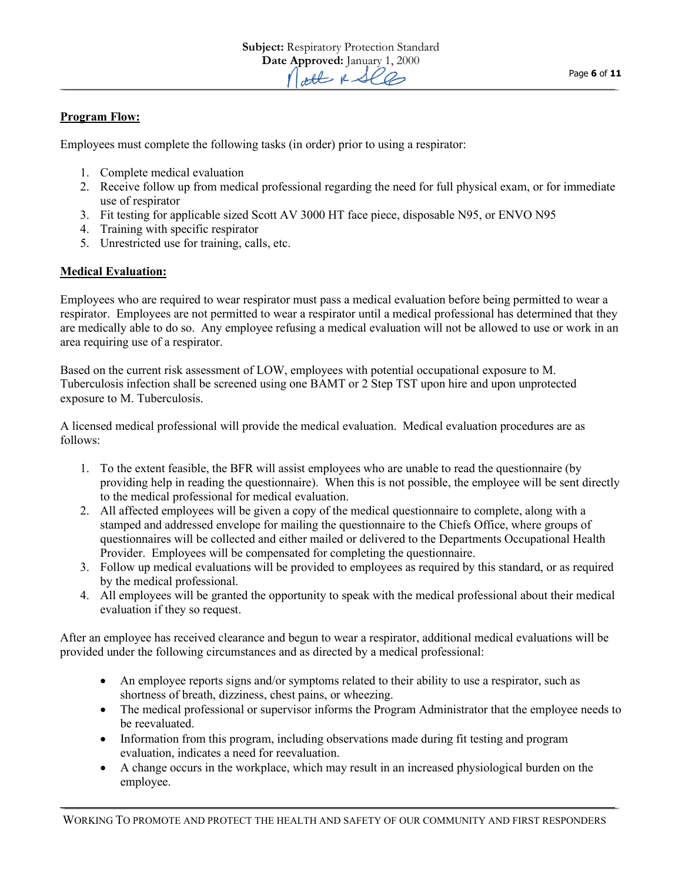## **Program Flow:**

Employees must complete the following tasks (in order) prior to using a respirator:

- 1. Complete medical evaluation
- 2. Receive follow up from medical professional regarding the need for full physical exam, or for immediate use of respirator
- 3. Fit testing for applicable sized Scott AV 3000 HT face piece, disposable N95, or ENVO N95
- 4. Training with specific respirator
- 5. Unrestricted use for training, calls, etc.

## **Medical Evaluation:**

Employees who are required to wear respirator must pass a medical evaluation before being permitted to wear a respirator. Employees are not permitted to wear a respirator until a medical professional has determined that they are medically able to do so. Any employee refusing a medical evaluation will not be allowed to use or work in an area requiring use of a respirator.

Based on the current risk assessment of LOW, employees with potential occupational exposure to M. Tuberculosis infection shall be screened using one BAMT or 2 Step TST upon hire and upon unprotected exposure to M. Tuberculosis.

A licensed medical professional will provide the medical evaluation. Medical evaluation procedures are as follows:

- 1. To the extent feasible, the BFR will assist employees who are unable to read the questionnaire (by providing help in reading the questionnaire). When this is not possible, the employee will be sent directly to the medical professional for medical evaluation.
- 2. All affected employees will be given a copy of the medical questionnaire to complete, along with a stamped and addressed envelope for mailing the questionnaire to the Chiefs Office, where groups of questionnaires will be collected and either mailed or delivered to the Departments Occupational Health Provider. Employees will be compensated for completing the questionnaire.
- 3. Follow up medical evaluations will be provided to employees as required by this standard, or as required by the medical professional.
- 4. All employees will be granted the opportunity to speak with the medical professional about their medical evaluation if they so request.

After an employee has received clearance and begun to wear a respirator, additional medical evaluations will be provided under the following circumstances and as directed by a medical professional:

- An employee reports signs and/or symptoms related to their ability to use a respirator, such as shortness of breath, dizziness, chest pains, or wheezing.
- The medical professional or supervisor informs the Program Administrator that the employee needs to be reevaluated.
- Information from this program, including observations made during fit testing and program evaluation, indicates a need for reevaluation.
- A change occurs in the workplace, which may result in an increased physiological burden on the employee.

Page **6** of **11**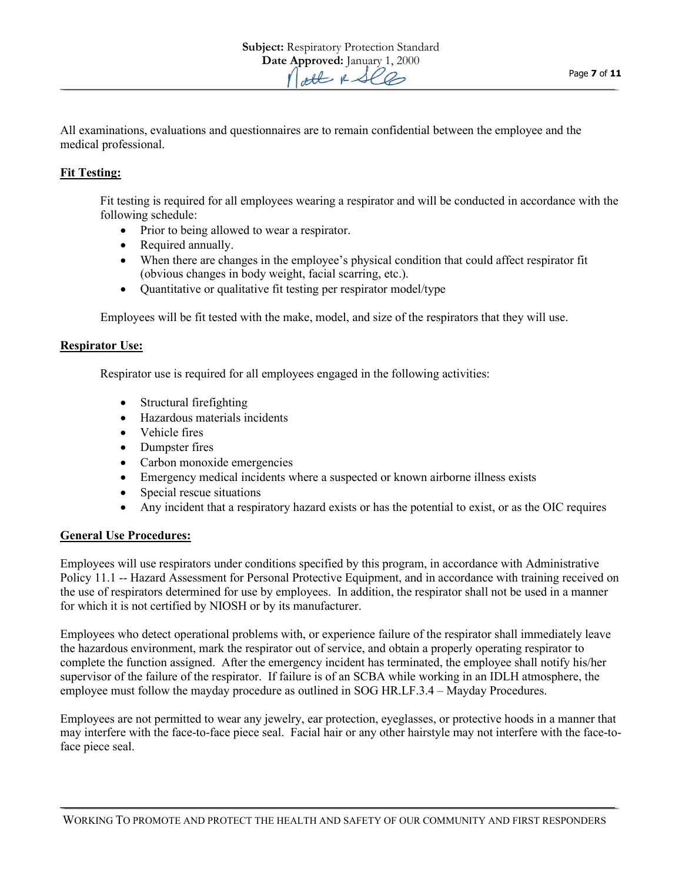All examinations, evaluations and questionnaires are to remain confidential between the employee and the medical professional.

## **Fit Testing:**

Fit testing is required for all employees wearing a respirator and will be conducted in accordance with the following schedule:

- Prior to being allowed to wear a respirator.
- Required annually.
- When there are changes in the employee's physical condition that could affect respirator fit (obvious changes in body weight, facial scarring, etc.).
- Quantitative or qualitative fit testing per respirator model/type

Employees will be fit tested with the make, model, and size of the respirators that they will use.

## **Respirator Use:**

Respirator use is required for all employees engaged in the following activities:

- Structural firefighting
- Hazardous materials incidents
- Vehicle fires
- Dumpster fires
- Carbon monoxide emergencies
- Emergency medical incidents where a suspected or known airborne illness exists
- Special rescue situations
- Any incident that a respiratory hazard exists or has the potential to exist, or as the OIC requires

## **General Use Procedures:**

Employees will use respirators under conditions specified by this program, in accordance with Administrative Policy 11.1 -- Hazard Assessment for Personal Protective Equipment, and in accordance with training received on the use of respirators determined for use by employees. In addition, the respirator shall not be used in a manner for which it is not certified by NIOSH or by its manufacturer.

Employees who detect operational problems with, or experience failure of the respirator shall immediately leave the hazardous environment, mark the respirator out of service, and obtain a properly operating respirator to complete the function assigned. After the emergency incident has terminated, the employee shall notify his/her supervisor of the failure of the respirator. If failure is of an SCBA while working in an IDLH atmosphere, the employee must follow the mayday procedure as outlined in SOG HR.LF.3.4 – Mayday Procedures.

Employees are not permitted to wear any jewelry, ear protection, eyeglasses, or protective hoods in a manner that may interfere with the face-to-face piece seal. Facial hair or any other hairstyle may not interfere with the face-toface piece seal.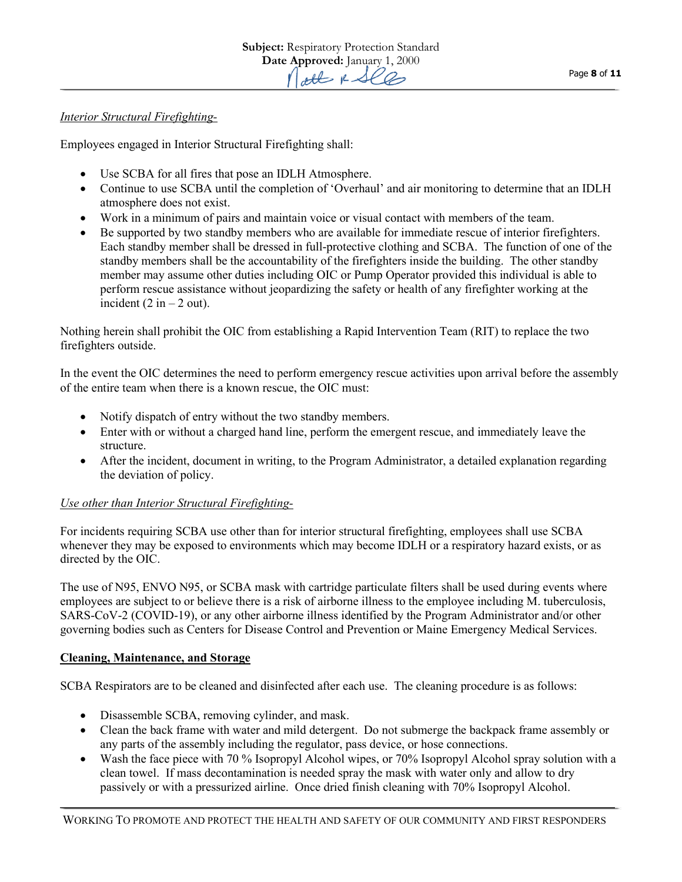## *Interior Structural Firefighting-*

Employees engaged in Interior Structural Firefighting shall:

- Use SCBA for all fires that pose an IDLH Atmosphere.
- Continue to use SCBA until the completion of 'Overhaul' and air monitoring to determine that an IDLH atmosphere does not exist.
- Work in a minimum of pairs and maintain voice or visual contact with members of the team.
- Be supported by two standby members who are available for immediate rescue of interior firefighters. Each standby member shall be dressed in full-protective clothing and SCBA. The function of one of the standby members shall be the accountability of the firefighters inside the building. The other standby member may assume other duties including OIC or Pump Operator provided this individual is able to perform rescue assistance without jeopardizing the safety or health of any firefighter working at the incident (2 in  $-$  2 out).

Nothing herein shall prohibit the OIC from establishing a Rapid Intervention Team (RIT) to replace the two firefighters outside.

In the event the OIC determines the need to perform emergency rescue activities upon arrival before the assembly of the entire team when there is a known rescue, the OIC must:

- Notify dispatch of entry without the two standby members.
- Enter with or without a charged hand line, perform the emergent rescue, and immediately leave the structure.
- After the incident, document in writing, to the Program Administrator, a detailed explanation regarding the deviation of policy.

## *Use other than Interior Structural Firefighting-*

For incidents requiring SCBA use other than for interior structural firefighting, employees shall use SCBA whenever they may be exposed to environments which may become IDLH or a respiratory hazard exists, or as directed by the OIC.

The use of N95, ENVO N95, or SCBA mask with cartridge particulate filters shall be used during events where employees are subject to or believe there is a risk of airborne illness to the employee including M. tuberculosis, SARS-CoV-2 (COVID-19), or any other airborne illness identified by the Program Administrator and/or other governing bodies such as Centers for Disease Control and Prevention or Maine Emergency Medical Services.

## **Cleaning, Maintenance, and Storage**

SCBA Respirators are to be cleaned and disinfected after each use. The cleaning procedure is as follows:

- Disassemble SCBA, removing cylinder, and mask.
- Clean the back frame with water and mild detergent. Do not submerge the backpack frame assembly or any parts of the assembly including the regulator, pass device, or hose connections.
- Wash the face piece with 70 % Isopropyl Alcohol wipes, or 70% Isopropyl Alcohol spray solution with a clean towel. If mass decontamination is needed spray the mask with water only and allow to dry passively or with a pressurized airline. Once dried finish cleaning with 70% Isopropyl Alcohol.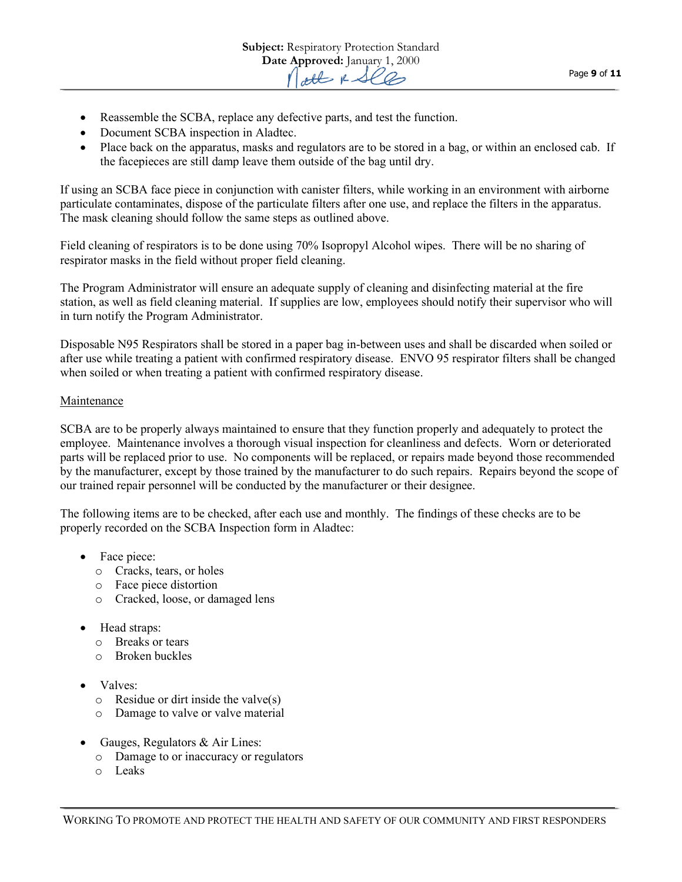- Reassemble the SCBA, replace any defective parts, and test the function.
- Document SCBA inspection in Aladtec.
- Place back on the apparatus, masks and regulators are to be stored in a bag, or within an enclosed cab. If the facepieces are still damp leave them outside of the bag until dry.

If using an SCBA face piece in conjunction with canister filters, while working in an environment with airborne particulate contaminates, dispose of the particulate filters after one use, and replace the filters in the apparatus. The mask cleaning should follow the same steps as outlined above.

Field cleaning of respirators is to be done using 70% Isopropyl Alcohol wipes. There will be no sharing of respirator masks in the field without proper field cleaning.

The Program Administrator will ensure an adequate supply of cleaning and disinfecting material at the fire station, as well as field cleaning material. If supplies are low, employees should notify their supervisor who will in turn notify the Program Administrator.

Disposable N95 Respirators shall be stored in a paper bag in-between uses and shall be discarded when soiled or after use while treating a patient with confirmed respiratory disease. ENVO 95 respirator filters shall be changed when soiled or when treating a patient with confirmed respiratory disease.

## Maintenance

SCBA are to be properly always maintained to ensure that they function properly and adequately to protect the employee. Maintenance involves a thorough visual inspection for cleanliness and defects. Worn or deteriorated parts will be replaced prior to use. No components will be replaced, or repairs made beyond those recommended by the manufacturer, except by those trained by the manufacturer to do such repairs. Repairs beyond the scope of our trained repair personnel will be conducted by the manufacturer or their designee.

The following items are to be checked, after each use and monthly. The findings of these checks are to be properly recorded on the SCBA Inspection form in Aladtec:

- Face piece:
	- o Cracks, tears, or holes
	- o Face piece distortion
	- o Cracked, loose, or damaged lens
- Head straps:
	- o Breaks or tears
	- o Broken buckles
- Valves:
	- $\circ$  Residue or dirt inside the valve(s)
	- o Damage to valve or valve material
- Gauges, Regulators & Air Lines:
	- o Damage to or inaccuracy or regulators
	- o Leaks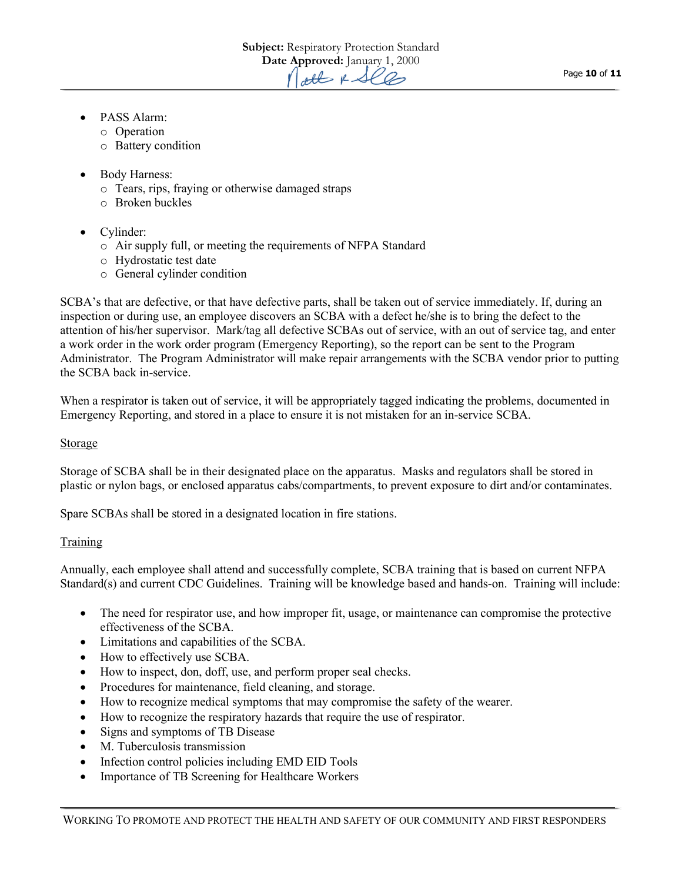- PASS Alarm:
	- o Operation
	- o Battery condition
- Body Harness:
	- o Tears, rips, fraying or otherwise damaged straps
	- o Broken buckles
- Cylinder:
	- o Air supply full, or meeting the requirements of NFPA Standard
	- o Hydrostatic test date
	- o General cylinder condition

SCBA's that are defective, or that have defective parts, shall be taken out of service immediately. If, during an inspection or during use, an employee discovers an SCBA with a defect he/she is to bring the defect to the attention of his/her supervisor. Mark/tag all defective SCBAs out of service, with an out of service tag, and enter a work order in the work order program (Emergency Reporting), so the report can be sent to the Program Administrator. The Program Administrator will make repair arrangements with the SCBA vendor prior to putting the SCBA back in-service.

When a respirator is taken out of service, it will be appropriately tagged indicating the problems, documented in Emergency Reporting, and stored in a place to ensure it is not mistaken for an in-service SCBA.

## Storage

Storage of SCBA shall be in their designated place on the apparatus. Masks and regulators shall be stored in plastic or nylon bags, or enclosed apparatus cabs/compartments, to prevent exposure to dirt and/or contaminates.

Spare SCBAs shall be stored in a designated location in fire stations.

## Training

Annually, each employee shall attend and successfully complete, SCBA training that is based on current NFPA Standard(s) and current CDC Guidelines. Training will be knowledge based and hands-on. Training will include:

- The need for respirator use, and how improper fit, usage, or maintenance can compromise the protective effectiveness of the SCBA.
- Limitations and capabilities of the SCBA.
- How to effectively use SCBA.
- How to inspect, don, doff, use, and perform proper seal checks.
- Procedures for maintenance, field cleaning, and storage.
- How to recognize medical symptoms that may compromise the safety of the wearer.
- How to recognize the respiratory hazards that require the use of respirator.
- Signs and symptoms of TB Disease
- M. Tuberculosis transmission
- Infection control policies including EMD EID Tools
- Importance of TB Screening for Healthcare Workers